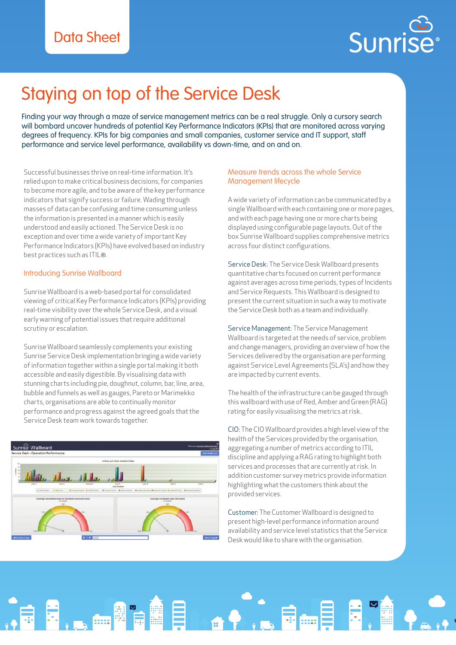

# Staying on top of the Service Desk

Finding your way through a maze of service management metrics can be a real struggle. Only a cursory search will bombard uncover hundreds of potential Key Performance Indicators (KPIs) that are monitored across varying degrees of frequency. KPIs for big companies and small companies, customer service and IT support, staff performance and service level performance, availability vs down-time, and on and on.

Successful businesses thrive on real-time information. It's relied upon to make critical business decisions, for companies to become more agile, and to be aware of the key performance indicators that signify success or failure. Wading through masses of data can be confusing and time consuming unless the information is presented in a manner which is easily understood and easily actioned. The Service Desk is no exception and over time a wide variety of important Key Performance Indicators (KPIs) have evolved based on industry best practices such as ITIL®.

### Introducing Sunrise Wallboard

Sunrise Wallboard is a web-based portal for consolidated viewing of critical Key Performance Indicators (KPIs) providing real-time visibility over the whole Service Desk, and a visual early warning of potential issues that require additional scrutiny or escalation.

Sunrise Wallboard seamlessly complements your existing Sunrise Service Desk implementation bringing a wide variety of information together within a single portal making it both accessible and easily digestible. By visualising data with stunning charts including pie, doughnut, column, bar, line, area, bubble and funnels as well as gauges, Pareto or Marimekko charts, organisations are able to continually monitor performance and progress against the agreed goals that the Service Desk team work towards together.



O E.

### Measure trends across the whole Service Management lifecycle

A wide variety of information can be communicated by a single Wallboard with each containing one or more pages, and with each page having one or more charts being displayed using configurable page layouts. Out of the box Sunrise Wallboard supplies comprehensive metrics across four distinct configurations.

Service Desk: The Service Desk Wallboard presents quantitative charts focused on current performance against averages across time periods, types of Incidents and Service Requests. This Wallboard is designed to present the current situation in such a way to motivate the Service Desk both as a team and individually.

Service Management: The Service Management Wallboard is targeted at the needs of service, problem and change managers, providing an overview of how the Services delivered by the organisation are performing against Service Level Agreements (SLA's) and how they are impacted by current events.

The health of the infrastructure can be gauged through this wallboard with use of Red, Amber and Green (RAG) rating for easily visualising the metrics at risk.

CIO: The CIO Wallboard provides a high level view of the health of the Services provided by the organisation, aggregating a number of metrics according to ITIL discipline and applying a RAG rating to highlight both services and processes that are currently at risk. In addition customer survey metrics provide information highlighting what the customers think about the provided services.

Customer: The Customer Wallboard is designed to present high-level performance information around availability and service level statistics that the Service Desk would like to share with the organisation.

6-8 F